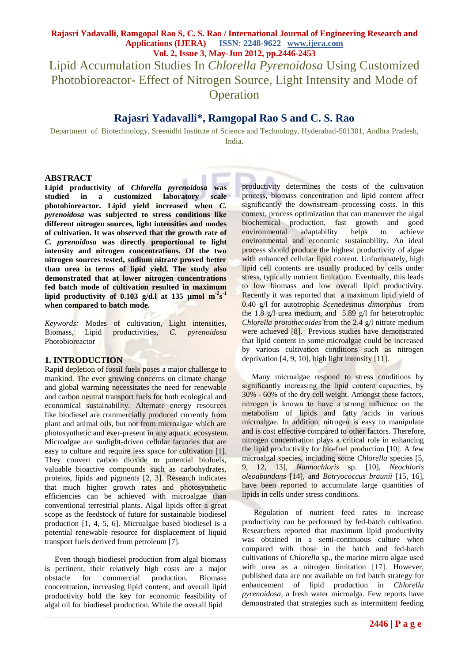Lipid Accumulation Studies In *Chlorella Pyrenoidosa* Using Customized Photobioreactor- Effect of Nitrogen Source, Light Intensity and Mode of **Operation** 

## **Rajasri Yadavalli\* , Ramgopal Rao S and C. S. Rao**

Department of Biotechnology, Sreenidhi Institute of Science and Technology, Hyderabad-501301, Andhra Pradesh, India.

#### **ABSTRACT**

**Lipid productivity of** *Chlorella pyrenoidosa* **was studied in a customized laboratory scale photobioreactor. Lipid yield increased when** *C. pyrenoidosa* **was subjected to stress conditions like different nitrogen sources, light intensities and modes of cultivation. It was observed that the growth rate of**  *C. pyrenoidosa* **was directly proportional to light intensity and nitrogen concentrations. Of the two nitrogen sources tested, sodium nitrate proved better than urea in terms of lipid yield. The study also demonstrated that at lower nitrogen concentrations fed batch mode of cultivation resulted in maximum**  lipid productivity of  $0.103$  g/d.l at 135  $\mu$ mol m<sup>2</sup>s<sup>-1</sup> **when compared to batch mode.**

*Keywords:* Modes of cultivation, Light intensities, Biomass, Lipid productivities, *C. pyrenoidosa* Photobioreactor

#### **1. INTRODUCTION**

Rapid depletion of fossil fuels poses a major challenge to mankind. The ever growing concerns on climate change and global warming necessitates the need for renewable and carbon neutral transport fuels for both ecological and economical sustainability. Alternate energy resources like biodiesel are commercially produced currently from plant and animal oils, but not from microalgae which are photosynthetic and ever-present in any aquatic ecosystem. Microalgae are sunlight-driven cellular factories that are easy to culture and require less space for cultivation [1]. They convert carbon dioxide to potential biofuels, valuable bioactive compounds such as carbohydrates, proteins, lipids and pigments [2, 3]. Research indicates that much higher growth rates and photosynthetic efficiencies can be achieved with microalgae than conventional terrestrial plants. Algal lipids offer a great scope as the feedstock of future for sustainable biodiesel production [1, 4, 5, 6]. Microalgae based biodiesel is a potential renewable resource for displacement of liquid transport fuels derived from petroleum [7].

 Even though biodiesel production from algal biomass is pertinent, their relatively high costs are a major obstacle for commercial production. Biomass concentration, increasing lipid content, and overall lipid productivity hold the key for economic feasibility of algal oil for biodiesel production. While the overall lipid

productivity determines the costs of the cultivation process, biomass concentration and lipid content affect significantly the downstream processing costs. In this context, process optimization that can maneuver the algal biochemical production, fast growth and good environmental adaptability helps to achieve environmental and economic sustainability. An ideal process should produce the highest productivity of algae with enhanced cellular lipid content. Unfortunately, high lipid cell contents are usually produced by cells under stress, typically nutrient limitation. Eventually, this leads to low biomass and low overall lipid productivity. Recently it was reported that a maximum lipid yield of 0.40 g/l for autotrophic *Scenedesmus dimorphus* from the 1.8 g/l urea medium, and 5.89 g/l for heterotrophic *Chlorella protothecoides* from the 2.4 g/l nitrate medium were achieved [8]. Previous studies have demonstrated that lipid content in some microalgae could be increased by various cultivation conditions such as nitrogen deprivation [4, 9, 10], high light intensity [11].

 Many microalgae respond to stress conditions by significantly increasing the lipid content capacities, by 30% - 60% of the dry cell weight. Amongst these factors, nitrogen is known to have a strong influence on the metabolism of lipids and fatty acids in various microalgae. In addition, nitrogen is easy to manipulate and is cost effective compared to other factors. Therefore, nitrogen concentration plays a critical role in enhancing the lipid productivity for bio-fuel production [10]. A few microalgal species, including some *Chlorella* species [5, 9, 12, 13], *Nannochloris* sp. [10], *Neochloris oleoabundans* [14], and *Botryococcus braunii* [15, 16], have been reported to accumulate large quantities of lipids in cells under stress conditions.

 Regulation of nutrient feed rates to increase productivity can be performed by fed-batch cultivation. Researchers reported that maximum lipid productivity was obtained in a semi-continuous culture when compared with those in the batch and fed-batch cultivations of *Chlorella* sp., the marine micro algae used with urea as a nitrogen limitation [17]. However, published data are not available on fed batch strategy for enhancement of lipid production in *Chlorella pyrenoidosa*, a fresh water microalga. Few reports have demonstrated that strategies such as intermittent feeding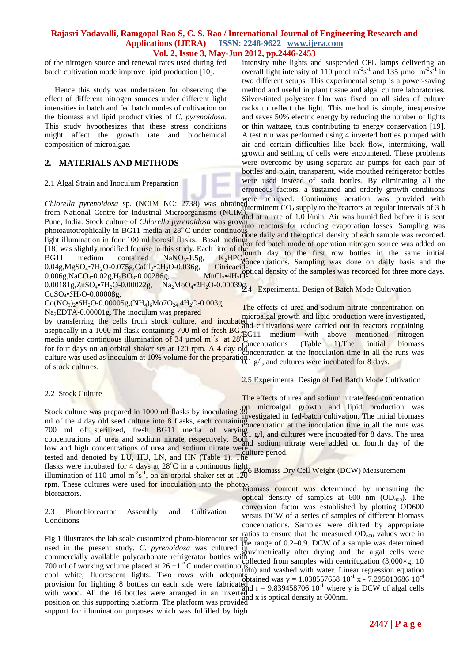of the nitrogen source and renewal rates used during fed batch cultivation mode improve lipid production [10].

 Hence this study was undertaken for observing the effect of different nitrogen sources under different light intensities in batch and fed batch modes of cultivation on the biomass and lipid productivities of *C. pyrenoidosa*. This study hypothesizes that these stress conditions might affect the growth rate and biochemical composition of microalgae.

#### **2. MATERIALS AND METHODS**

#### 2.1 Algal Strain and Inoculum Preparation

intensity tube lights and suspended CFL lamps delivering an overall light intensity of 110 µmol  $m^2s^{-1}$  and 135 µmol  $m^2s^{-1}$  in two different setups. This experimental setup is a power-saving method and useful in plant tissue and algal culture laboratories. Silver-tinted polyester film was fixed on all sides of culture racks to reflect the light. This method is simple, inexpensive and saves 50% electric energy by reducing the number of lights or thin wattage, thus contributing to energy conservation [19]. A test run was performed using 4 inverted bottles pumped with air and certain difficulties like back flow, intermixing, wall growth and settling of cells were encountered. These problems were overcome by using separate air pumps for each pair of bottles and plain, transparent, wide mouthed refrigerator bottles were used instead of soda bottles. By eliminating all the erroneous factors, a sustained and orderly growth conditions

*Chlorella pyrenoidosa* sp. (NCIM NO: 2738) was obtained termittant CO currily to the reactors at requier intervals of 3 h *Chioretta pyreholaosa* sp. (INCINT NO. 2756) was obtained intermittent  $CO_2$  supply to the reactors at regular intervals of 3 h from National Centre for Industrial Microorganisms (NCIM), and at a rate of 1.0 l(min. Air w Pune, India. Stock culture of *Chlorella pyrenoidosa* was grown<br>relationship in DC11 used is at 28% C under continuality reactors for reducing evaporation losses. Sampling was photoautotrophically in BG11 media at 28<sup>o</sup>C under continuous<br>light illumination in faus 100 ml hangil flashe. Besel we didone daily and the optical density of each sample was recorded. light illumination in four 100 ml borosil flasks. Basal medium<br>[19] was alightly we differ for we in this stady. Each line of the of the of the mode of operation nitrogen source was added on [18] was slightly modified for use in this study. Each litre of the  $BG11$  medium contained NaNO<sub>3</sub>-1.5g,  $K_2HPO_{\phi_{\text{O}}}^{T}$  has sampling was done on daily basis and the  $0.04$ g,MgSO<sub>4</sub>•7H<sub>2</sub>O-0.075g,CaCl<sub>2</sub>•2H<sub>2</sub>O-0.036g,  $0.006$ g,NaCO<sub>3</sub>-0.02g,H<sub>3</sub>BO<sub>3</sub>-0.00286g, and at a rate of 1.0 l/min. Air was humidified before it is sent  $K_2HPO_{\ell\text{-}}^{1000 \text{ H}}$  as the link tow bottles in the same initial<br>Citricacid<sub>entic</sub>al density of the samples was done on daily basis and the In Latitude of the samples was recorded for three more days.

 $0.00181g$ , $ZnSO_4$ <sup>•</sup>7H<sub>2</sub>O-0.00022g, Na<sub>2</sub>MoO<sub>4</sub>•2H<sub>2</sub>O-0.00039g<sub>7.4</sub> Experimental Design of Batch Mode Cultivation  $CuSO<sub>4</sub>•5H<sub>2</sub>O-0.00008g,$ 

 $Co(NO<sub>3</sub>)<sub>2</sub>•6H<sub>2</sub>O-0.00005g,(NH<sub>4</sub>)<sub>6</sub>Mo7O<sub>24</sub>.4H<sub>2</sub>O-0.003g,$ Na2EDTA-0.00001g. The inoculum was prepared

by transferring the cells from stock culture, and incubated enterproduced in the production were investigated, aseptically in a 1000 ml flask containing 700 ml of fresh  $\text{BG}_{11}^{\text{III}}$ media under continuous illumination of 34 µmol m<sup>-2</sup>s<sup>-1</sup> at 28<sup>o</sup>C for four days on an orbital shaker set at 120 rpm. A 4 day old culture was used as inoculum at 10% volume for the preparation of stock cultures. microalgal growth and lipid production were investigated, and cultivations were carried out in reactors containing BG11 medium with above mentioned nitrogen  $c$ <sup>o</sup> concentrations (Table 1). The initial biomass concentration at the inoculation time in all the runs was culture was used as inoculum at 10% volume for the preparation 1 g/l, and cultures were incubated for 8 days.

#### 2.5 Experimental Design of Fed Batch Mode Cultivation

The effects of urea and sodium nitrate concentration on

#### 2.2 Stock Culture

The effects of urea and sodium nitrate feed concentration

Stock culture was prepared in 1000 ml flasks by inoculating 39 microalgal growth and lipid production was ml of the 4 day old seed culture into 8 flasks, each containing concentration at the inoculation time in all the runs was 700 ml of sterilized, fresh BG11 media of varying concentrations of urea and sodium nitrate, respectively. Both low and high concentrations of urea and sodium nitrate were investigated in fed-batch cultivation. The initial biomass  $\frac{15}{2}$  g/l, and cultures were incubated for 8 days. The urea and sodium nitrate were added on fourth day of the culture period.

tested and denoted by LU, HU, LN, and HN (Table 1). The flasks were incubated for 4 days at  $28^{\circ}$ C in a continuous light, illumination of 110 µmol m<sup>-2</sup>s<sup>-1</sup>, on an orbital shaker set at 120<br>illumination of 110 µmol m<sup>-2</sup>s<sup>-1</sup>, on an orbital shaker set at 120 rpm. These cultures were used for inoculation into the photo-<br>his content was determined by measuring the bioreactors.

#### 2.3 Photobioreactor Assembly and Cultivation **Conditions**

used in the present study. *C. pyrenoidosa* was cultured in commercially available polycarbonate refrigerator bottles with 700 ml of working volume placed at  $26 \pm 1$  °C under continuous, cool white, fluorescent lights. Two rows with adequate provision for lighting 8 bottles on each side were fabricated with wood. All the 16 bottles were arranged in an inverted with wood. An the 10 bottles were arranged in an inverted and x is optical density at 600nm.<br>position on this supporting platform. The platform was provided support for illumination purposes which was fulfilled by high cool winte, into essem the state of the state of the contract was  $y = 1.0000$  .<br>provision for lighting 8 bottles on each side were fabricated and  $r = 9.839458706 \cdot 10^{-1}$  where y is DCW of algal cells

Fig 1 illustrates the lab scale customized photo-bioreactor set  $\mu_{\text{B}}$  ratios to ensure that the measured OD<sub>600</sub> values were in optical density of samples at  $600 \text{ nm}$  (OD<sub>600</sub>). The conversion factor was established by plotting OD600 versus DCW of a series of samples of different biomass concentrations. Samples were diluted by appropriate the range of 0.2–0.9. DCW of a sample was determined gravimetrically after drying and the algal cells were collected from samples with centrifugation  $(3,000 \times g, 10)$ min) and washed with water. Linear regression equation tehtained was y =  $1.038557658 \cdot 10^{-1}$  x -  $7.295013686 \cdot 10^{-4}$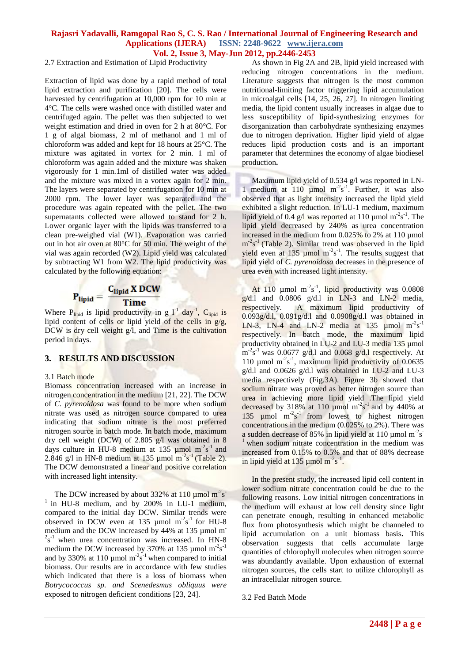2.7 Extraction and Estimation of Lipid Productivity

Extraction of lipid was done by a rapid method of total lipid extraction and purification [20]. The cells were harvested by centrifugation at 10,000 rpm for 10 min at 4°C. The cells were washed once with distilled water and centrifuged again. The pellet was then subjected to wet weight estimation and dried in oven for 2 h at 80°C. For 1 g of algal biomass, 2 ml of methanol and 1 ml of chloroform was added and kept for 18 hours at 25°C. The mixture was agitated in vortex for 2 min. 1 ml of chloroform was again added and the mixture was shaken vigorously for 1 min.1ml of distilled water was added and the mixture was mixed in a vortex again for 2 min. The layers were separated by centrifugation for 10 min at 2000 rpm. The lower layer was separated and the procedure was again repeated with the pellet. The two supernatants collected were allowed to stand for 2 h. Lower organic layer with the lipids was transferred to a clean pre-weighed vial (W1). Evaporation was carried out in hot air oven at 80°C for 50 min. The weight of the vial was again recorded (W2). Lipid yield was calculated by subtracting W1 from W2. The lipid productivity was calculated by the following equation:

# $P_{lipid} = \frac{C_{lipid} \, X \, DCW}{Time}$

Where P<sub>lipid</sub> is lipid productivity in g  $1^{-1}$  day<sup>-1</sup>, C<sub>lipid</sub> is lipid content of cells or lipid yield of the cells in g/g, DCW is dry cell weight g/l, and Time is the cultivation period in days.

## **3. RESULTS AND DISCUSSION**

#### 3.1 Batch mode

Biomass concentration increased with an increase in nitrogen concentration in the medium [21, 22]. The DCW of *C. pyrenoidosa* was found to be more when sodium nitrate was used as nitrogen source compared to urea indicating that sodium nitrate is the most preferred nitrogen source in batch mode. In batch mode, maximum dry cell weight (DCW) of 2.805 g/l was obtained in 8 days culture in HU-8 medium at 135  $\mu$ mol m<sup>-2</sup>s<sup>-1</sup> and 2.846 g/l in HN-8 medium at 135 µmol  $m<sup>-2</sup>s<sup>-1</sup>$  (Table 2). The DCW demonstrated a linear and positive correlation with increased light intensity.

The DCW increased by about  $332\%$  at 110 µmol m<sup>-2</sup>s<sup>-</sup>  $1$  in HU-8 medium, and by 200% in LU-1 medium, compared to the initial day DCW. Similar trends were observed in DCW even at 135  $\mu$ mol m<sup>-2</sup>s<sup>-1</sup> for HU-8 medium and the DCW increased by 44% at 135 µmol m<sup>-</sup>  $2s^{-1}$  when urea concentration was increased. In HN-8 medium the DCW increased by 370% at 135 µmol  $m<sup>-2</sup>s<sup>-1</sup>$ and by 330% at 110 µmol  $m<sup>-2</sup>s<sup>-1</sup>$  when compared to initial biomass. Our results are in accordance with few studies which indicated that there is a loss of biomass when *Botrycococcus sp. and Scenedesmus obliquus were* exposed to nitrogen deficient conditions [23, 24].

 As shown in Fig 2A and 2B, lipid yield increased with reducing nitrogen concentrations in the medium. Literature suggests that nitrogen is the most common nutritional-limiting factor triggering lipid accumulation in microalgal cells [14, 25, 26, 27]. In nitrogen limiting media, the lipid content usually increases in algae due to less susceptibility of lipid-synthesizing enzymes for disorganization than carbohydrate synthesizing enzymes due to nitrogen deprivation. Higher lipid yield of algae reduces lipid production costs and is an important parameter that determines the economy of algae biodiesel production**.**

 Maximum lipid yield of 0.534 g/l was reported in LN-1 medium at 110  $\mu$ mol m<sup>-2</sup>s<sup>-1</sup>. Further, it was also observed that as light intensity increased the lipid yield exhibited a slight reduction. In LU-1 medium, maximum lipid yield of 0.4 g/l was reported at 110 µmol  $m<sup>2</sup>s<sup>-1</sup>$ . The lipid yield decreased by 240% as urea concentration increased in the medium from 0.025% to 2% at 110 µmol  $m<sup>2</sup>s<sup>-1</sup>$  (Table 2). Similar trend was observed in the lipid yield even at 135  $\mu$ mol m<sup>-2</sup>s<sup>-1</sup>. The results suggest that lipid yield of *C. pyrenoidosa* decreases in the presence of urea even with increased light intensity.

At 110  $\mu$ mol m<sup>-2</sup>s<sup>-1</sup>, lipid productivity was 0.0808  $g/d.l$  and 0.0806  $g/d.l$  in LN-3 and LN-2 media, respectively. A maximum lipid productivity of  $0.093g/d.l$ ,  $0.091g/d.l$  and  $0.0908g/d.l$  was obtained in LN-3, LN-4 and LN-2 media at 135  $\mu$ mol m<sup>-2</sup>s<sup>-1</sup> respectively. In batch mode, the maximum lipid productivity obtained in LU-2 and LU-3 media 135 µmol  $\text{m}^2\text{s}^{-1}$  was 0.0677 g/d.l and 0.068 g/d.l respectively. At 110  $\mu$ mol m<sup>-2</sup>s<sup>-1</sup>, maximum lipid productivity of 0.0635  $g/d.l$  and 0.0626  $g/d.l$  was obtained in LU-2 and LU-3 media respectively (Fig.3A). Figure 3b showed that sodium nitrate was proved as better nitrogen source than urea in achieving more lipid yield .The lipid yield decreased by 318% at 110  $\mu$ mol m<sup>-2</sup>s<sup>-1</sup> and by 440% at 135  $\mu$ mol m<sup>-2</sup>s<sup>-1</sup> from lowest to highest nitrogen concentrations in the medium (0.025% to 2%). There was a sudden decrease of 85% in lipid yield at 110  $\mu$ mol m<sup>-2</sup>s<sup>-</sup>  $1$  when sodium nitrate concentration in the medium was increased from 0.15% to 0.5% and that of 88% decrease in lipid yield at  $135 \mu$ mol m<sup>-2</sup>s<sup>-1</sup>.

 In the present study, the increased lipid cell content in lower sodium nitrate concentration could be due to the following reasons. Low initial nitrogen concentrations in the medium will exhaust at low cell density since light can penetrate enough, resulting in enhanced metabolic flux from photosynthesis which might be channeled to lipid accumulation on a unit biomass basis**.** This observation suggests that cells accumulate large quantities of chlorophyll molecules when nitrogen source was abundantly available. Upon exhaustion of external nitrogen sources, the cells start to utilize chlorophyll as an intracellular nitrogen source.

#### 3.2 Fed Batch Mode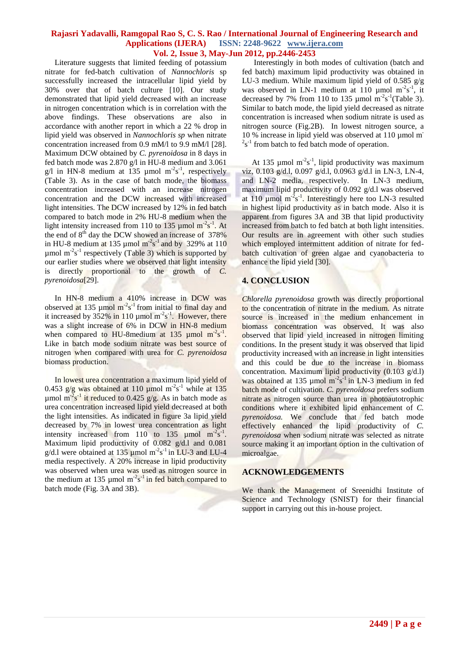Literature suggests that limited feeding of potassium nitrate for fed-batch cultivation of *Nannochloris* sp successfully increased the intracellular lipid yield by 30% over that of batch culture [10]. Our study demonstrated that lipid yield decreased with an increase in nitrogen concentration which is in correlation with the above findings. These observations are also in accordance with another report in which a 22 % drop in lipid yield was observed in *Nannochloris sp* when nitrate concentration increased from 0.9 mM/l to 9.9 mM/l [28]. Maximum DCW obtained by *C. pyrenoidosa* in 8 days in fed batch mode was 2.870 g/l in HU-8 medium and 3.061 g/l in HN-8 medium at 135  $\mu$ mol m<sup>-2</sup>s<sup>-1</sup>, respectively (Table 3). As in the case of batch mode, the biomass concentration increased with an increase nitrogen concentration and the DCW increased with increased light intensities. The DCW increased by 12% in fed batch compared to batch mode in 2% HU-8 medium when the light intensity increased from 110 to 135  $\mu$ mol m<sup>-2</sup>s<sup>-1</sup>. At the end of 8<sup>th</sup> day the DCW showed an increase of 378% in HU-8 medium at 135  $\mu$ mol m<sup>-2</sup>s<sup>-1</sup> and by 329% at 110  $\mu$ mol m<sup>-2</sup>s<sup>-1</sup> respectively (Table 3) which is supported by our earlier studies where we observed that light intensity is directly proportional to the growth of *C. pyrenoidosa*[29].

 In HN-8 medium a 410% increase in DCW was observed at 135  $\mu$ mol m<sup>-2</sup>s<sup>-1</sup> from initial to final day and it increased by 352% in 110  $\mu$ mol m<sup>-2</sup>s<sup>-1</sup>. However, there was a slight increase of 6% in DCW in HN-8 medium when compared to HU-8 medium at  $135 \mu$  mol m<sup>-2</sup>s<sup>-1</sup>. Like in batch mode sodium nitrate was best source of nitrogen when compared with urea for *C. pyrenoidosa*  biomass production.

 In lowest urea concentration a maximum lipid yield of 0.453  $g/g$  was obtained at 110 µmol m<sup>-2</sup>s<sup>-1</sup> while at 135 umol m<sup>-2</sup>s<sup>-1</sup> it reduced to 0.425 g/g. As in batch mode as urea concentration increased lipid yield decreased at both the light intensities. As indicated in figure 3a lipid yield decreased by 7% in lowest urea concentration as light intensity increased from 110 to 135  $\mu$ mol m<sup>-2</sup>s<sup>-1</sup>. Maximum lipid productivity of 0.082 g/d.1 and 0.081  $g/d.1$  were obtained at 135 µmol m<sup>-2</sup>s<sup>-1</sup> in LU-3 and LU-4 media respectively. A 20% increase in lipid productivity was observed when urea was used as nitrogen source in the medium at 135 µmol  $m<sup>2</sup>s<sup>-1</sup>$  in fed batch compared to batch mode (Fig. 3A and 3B).

 Interestingly in both modes of cultivation (batch and fed batch) maximum lipid productivity was obtained in LU-3 medium. While maximum lipid yield of 0.585 g/g was observed in LN-1 medium at 110  $\mu$ mol m<sup>-2</sup>s<sup>-1</sup>, it decreased by 7% from 110 to 135  $\mu$ mol m<sup>-2</sup>s<sup>-1</sup>(Table 3). Similar to batch mode, the lipid yield decreased as nitrate concentration is increased when sodium nitrate is used as nitrogen source (Fig.2B). In lowest nitrogen source, a 10 % increase in lipid vield was observed at 110  $\mu$ mol m<sup>-</sup>  $2s^{-1}$  from batch to fed batch mode of operation.

At 135 µmol  $m<sup>2</sup>s<sup>-1</sup>$ , lipid productivity was maximum viz, 0.103 g/d.l, 0.097 g/d.l, 0.0963 g/d.l in LN-3, LN-4, and LN-2 media, respectively. In LN-3 medium, maximum lipid productivity of 0.092 g/d.l was observed at 110  $\mu$ mol m<sup>-2</sup>s<sup>-1</sup>. Interestingly here too LN-3 resulted in highest lipid productivity as in batch mode. Also it is apparent from figures 3A and 3B that lipid productivity increased from batch to fed batch at both light intensities. Our results are in agreement with other such studies which employed intermittent addition of nitrate for fedbatch cultivation of green algae and cyanobacteria to enhance the lipid yield [30].

## **4. CONCLUSION**

*Chlorella pyrenoidosa* growth was directly proportional to the concentration of nitrate in the medium. As nitrate source is increased in the medium enhancement in biomass concentration was observed. It was also observed that lipid yield increased in nitrogen limiting conditions. In the present study it was observed that lipid productivity increased with an increase in light intensities and this could be due to the increase in biomass concentration. Maximum lipid productivity (0.103 g/d.l) was obtained at 135  $\mu$ mol m<sup>-2</sup>s<sup>-1</sup> in LN-3 medium in fed batch mode of cultivation. *C. pyrenoidosa* prefers sodium nitrate as nitrogen source than urea in photoautotrophic conditions where it exhibited lipid enhancement of *C. pyrenoidosa.* We conclude that fed batch mode effectively enhanced the lipid productivity of *C. pyrenoidosa* when sodium nitrate was selected as nitrate source making it an important option in the cultivation of microalgae.

#### **ACKNOWLEDGEMENTS**

We thank the Management of Sreenidhi Institute of Science and Technology (SNIST) for their financial support in carrying out this in-house project.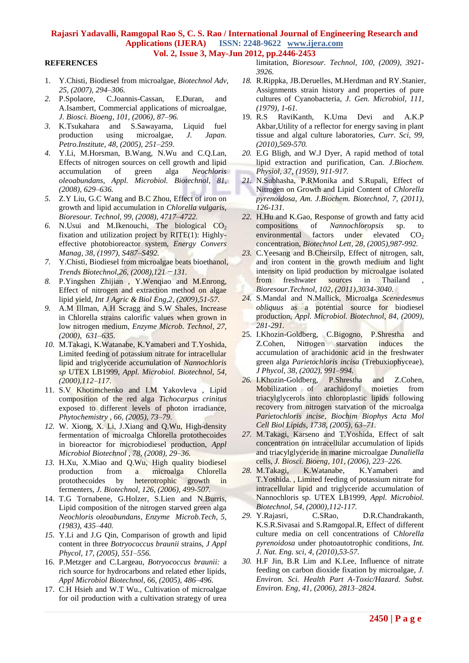#### **REFERENCES**

- 1. Y.Chisti, Biodiesel from microalgae, *Biotechnol Adv, 25, (2007), 294–306.*
- *2.* P.Spolaore, C.Joannis-Cassan, E.Duran, and A.Isambert, Commercial applications of microalgae, *J. Biosci. Bioeng, 101, (2006), 87–96.*
- *3.* K.Tsukahara and S.Sawayama, Liquid fuel production using microalgae, *J. Japan. Petro.Institute, 48, (2005), 251–259.*
- *4.* Y.Li, M.Horsman, B.Wang, N.Wu and C.Q.Lan, Effects of nitrogen sources on cell growth and lipid accumulation of green alga *Neochloris oleoabundans*, *Appl. Microbiol. Biotechnol, 81, (2008), 629–636.*
- *5.* Z.Y Liu, G.C Wang and B.C Zhou, Effect of iron on growth and lipid accumulation in *Chlorella vulgaris*, *Bioresour. Technol, 99, (2008), 4717–4722.*
- 6. N.Usui and M.Ikenouchi, The biological  $CO<sub>2</sub>$ fixation and utilization project by RITE(1): Highlyeffective photobioreactor system, *Energy Convers Manag, 38, (1997), S487–S492.*
- *7.* Y.Chisti, Biodiesel from microalgae beats bioethanol, *Trends Biotechnol,26, (2008),121*-*131.*
- *8.* P.Yingshen Zhijian , Y.Wenqiao and M.Enrong, Effect of nitrogen and extraction method on algae lipid yield, *Int J Agric & Biol Eng,2, (2009),51-57.*
- *9.* A.M Illman, A.H Scragg and S.W Shales, Increase in Chlorella strains calorific values when grown in low nitrogen medium, *Enzyme Microb. Technol, 27, (2000), 631–635.*
- *10.* M.Takagi, K.Watanabe, K.Yamaberi and T.Yoshida, Limited feeding of potassium nitrate for intracellular lipid and triglyceride accumulation of *Nannochloris sp* UTEX LB1999, *Appl. Microbiol. Biotechnol, 54, (2000),112–117.*
- 11. S.V Khotimchenko and I.M Yakovleva , Lipid composition of the red alga *Tichocarpus crinitus* exposed to different levels of photon irradiance, *Phytochemistry , 66, (2005), 73–79.*
- *12.* W. Xiong, X. Li, J.Xiang and Q.Wu, High-density fermentation of microalga Chlorella protothecoides in bioreactor for microbiodiesel production, *Appl Microbiol Biotechnol , 78, (2008), 29–36.*
- *13.* H.Xu, X.Miao and Q.Wu, High quality biodiesel production from a microalga Chlorella protothecoides by heterotrophic growth in fermenters, *J. Biotechnol, 126, (2006), 499-507.*
- 14. T.G Tornabene, G.Holzer, S.Lien and N.Burris, Lipid composition of the nitrogen starved green alga *Neochloris oleoabundans*, *Enzyme Microb.Tech, 5, (1983), 435–440.*
- *15.* Y.Li and J.G Qin, Comparison of growth and lipid content in three *Botryococcus braunii* strains, *J Appl Phycol, 17, (2005), 551–556.*
- 16. P.Metzger and C.Largeau, *Botryococcus braunii:* a rich source for hydrocarbons and related ether lipids, *Appl Microbiol Biotechnol, 66, (2005), 486–496.*
- 17. C.H Hsieh and W.T Wu., Cultivation of microalgae for oil production with a cultivation strategy of urea

limitation, *Bioresour. Technol, 100, (2009), 3921- 3926.*

- *18.* R.Rippka, JB.Deruelles, M.Herdman and RY.Stanier, Assignments strain history and properties of pure cultures of Cyanobacteria, *J. Gen. Microbiol, 111, (1979), 1-61.*
- 19. R.S RaviKanth, K.Uma Devi and A.K.P Akbar,Utility of a reflector for energy saving in plant tissue and algal culture laboratories, *Curr. Sci, 99, (2010),569-570.*
- *20.* E.G Bligh, and W.J Dyer, A rapid method of total lipid extraction and purification, Can. *J.Biochem. Physiol, 37, (1959), 911-917.*
- *21.* N.Subhasha, P.RMonika and S.Rupali, Effect of Nitrogen on Growth and Lipid Content of *Chlorella pyrenoidosa*, *Am. J.Biochem. Biotechnol, 7, (2011), 126-131.*
- *22.* H.Hu and K.Gao, Response of growth and fatty acid compositions of *Nannochloropsis* sp. to environmental factors under elevated  $CO<sub>2</sub>$ concentration, *Biotechnol Lett, 28, (2005),987-992.*
- *23.* C.Yeesang and B.Cheirsilp, Effect of nitrogen, salt, and iron content in the growth medium and light intensity on lipid production by microalgae isolated from freshwater sources in Thailand *Bioresour.Technol, 102, (2011),3034-3040.*
- *24.* S.Mandal and N.Mallick, Microalga *Scenedesmus obliquus* as a potential source for biodiesel production, *Appl. Microbiol. Biotechnol, 84, (2009), 281-291.*
- 25. I.Khozin-Goldberg, C.Bigogno, P.Shrestha and Z.Cohen, Nitrogen starvation induces the accumulation of arachidonic acid in the freshwater green alga *Parietochloris incisa* (Trebuxiophyceae), *J Phycol, 38, (2002), 991–994.*
- *26.* I.Khozin-Goldberg, P.Shrestha and Z.Cohen, Mobilization of arachidonyl moieties from triacylglycerols into chloroplastic lipids following recovery from nitrogen starvation of the microalga *Parietochloris incise, Biochim Biophys Acta Mol Cell Biol Lipids, 1738, (2005), 63–71.*
- *27.* M.Takagi, Karseno and T.Yoshida, Effect of salt concentration on intracellular accumulation of lipids and triacylglyceride in marine microalgae *Dunaliella* cells, *J. Biosci. Bioeng, 101, (2006), 223–226.*
- *28.* M.Takagi, K.Watanabe, K.Yamaberi and T.Yoshida. , Limited feeding of potassium nitrate for intracellular lipid and triglyceride accumulation of Nannochloris sp. UTEX LB1999, *Appl. Microbiol. Biotechnol, 54, (2000),112-117.*
- *29.* Y.Rajasri, C.SRao, D.R.Chandrakanth, K.S.R.Sivasai and S.Ramgopal.R, Effect of different culture media on cell concentrations of C*hlorella pyrenoidosa* under photoautotrophic conditions*, Int. J. Nat. Eng. sci, 4, (2010),53-57.*
- *30.* H.F Jin, B.R Lim and K.Lee, Influence of nitrate feeding on carbon dioxide fixation by microalgae, *J. Environ. Sci. Health Part A-Toxic/Hazard. Subst. Environ. Eng, 41, (2006), 2813–2824.*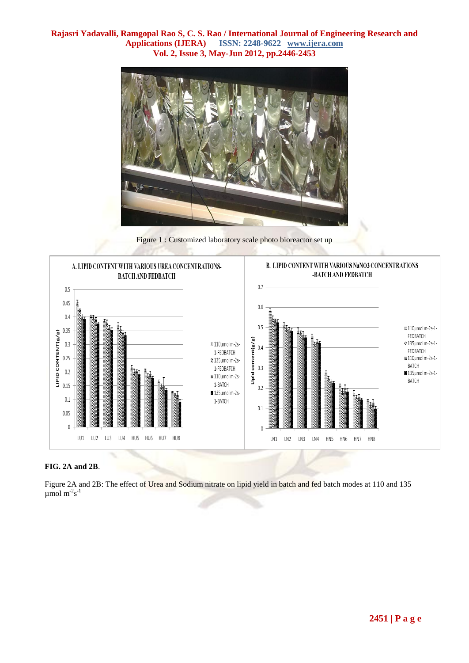

Figure 1 : Customized laboratory scale photo bioreactor set up



#### **FIG. 2A and 2B**.

Figure 2A and 2B: The effect of Urea and Sodium nitrate on lipid yield in batch and fed batch modes at 110 and 135  $\mu$ mol m<sup>-2</sup>s<sup>-1</sup>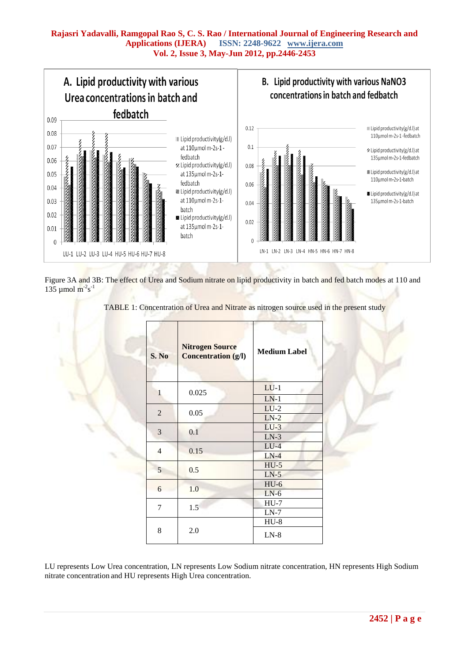

Figure 3A and 3B: The effect of Urea and Sodium nitrate on lipid productivity in batch and fed batch modes at 110 and 135 µmol  $m^2s^{-1}$ 

TABLE 1: Concentration of Urea and Nitrate as nitrogen source used in the present study

| S. No          | <b>Nitrogen Source</b><br><b>Concentration (g/l)</b> | <b>Medium Label</b> |  |  |  |
|----------------|------------------------------------------------------|---------------------|--|--|--|
| $\mathbf{1}$   | 0.025                                                | $LU-1$              |  |  |  |
|                |                                                      | $LN-1$              |  |  |  |
| $\overline{2}$ | 0.05                                                 | $LU-2$              |  |  |  |
|                |                                                      | $LN-2$              |  |  |  |
| 3              | 0.1                                                  | $LU-3$              |  |  |  |
|                |                                                      | $LN-3$              |  |  |  |
| $\overline{4}$ | 0.15                                                 | $LU-4$              |  |  |  |
|                |                                                      | $LN-4$              |  |  |  |
| 5              | 0.5                                                  | $HU-5$              |  |  |  |
|                |                                                      | $LN-5$              |  |  |  |
| 6              | 1.0                                                  | $HU-6$              |  |  |  |
|                |                                                      | $LN-6$              |  |  |  |
| 7              | 1.5                                                  | $HU-7$              |  |  |  |
|                |                                                      | $LN-7$              |  |  |  |
|                |                                                      | $HU-8$              |  |  |  |
| 8              | 2.0                                                  | $LN-8$              |  |  |  |

LU represents Low Urea concentration, LN represents Low Sodium nitrate concentration, HN represents High Sodium nitrate concentration and HU represents High Urea concentration.